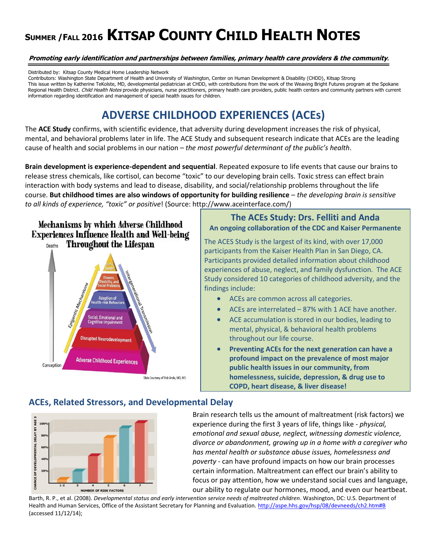# **<sup>S</sup>UMMER /FALL <sup>2016</sup> KITSAP COUNTY CHILD HEALTH NOTES**

#### **Promoting early identification and partnerships between families, primary health care providers & the community***.*

Distributed by: Kitsap County Medical Home Leadership Network

Contributors: Washington State Department of Health and University of Washington, Center on Human Development & Disability (CHDD), Kitsap Strong This issue written by Katherine TeKolste, MD, developmental pediatrician at CHDD, with contributions from the work of the Weaving Bright Futures program at the Spokane Regional Health District. Child Health Notes provide physicians, nurse practitioners, primary health care providers, public health centers and community partners with current information regarding identification and management of special health issues for children.

# **ADVERSE CHILDHOOD EXPERIENCES (ACEs)**

The **ACE Study** confirms, with scientific evidence, that adversity during development increases the risk of physical, mental, and behavioral problems later in life. The ACE Study and subsequent research indicate that ACEs are the leading cause of health and social problems in our nation – *the most powerful determinant of the public's health*.

**Brain development is experience-dependent and sequential**. Repeated exposure to life events that cause our brains to release stress chemicals, like cortisol, can become "toxic" to our developing brain cells. Toxic stress can effect brain interaction with body systems and lead to disease, disability, and social/relationship problems throughout the life course. **But childhood times are also windows of opportunity for building resilience** – *the developing brain is sensitive to all kinds of experience, "toxic" or positive*! (Source: http://www.aceinterface.com/)

Mechanisms by which Adverse Childhood **Experiences Influence Health and Well-being Throughout the Lifespan** Deaths



### **The ACEs Study: Drs. Felliti and Anda An ongoing collaboration of the CDC and Kaiser Permanente**

The ACES Study is the largest of its kind, with over 17,000 participants from the Kaiser Health Plan in San Diego, CA. Participants provided detailed information about childhood experiences of abuse, neglect, and family dysfunction. The ACE Study considered 10 categories of childhood adversity, and the findings include:

- ACEs are common across all categories.
- ACEs are interrelated 87% with 1 ACE have another.
- ACE accumulation is stored in our bodies, leading to mental, physical, & behavioral health problems throughout our life course.
- **Preventing ACEs for the next generation can have a profound impact on the prevalence of most major public health issues in our community, from homelessness, suicide, depression, & drug use to COPD, heart disease, & liver disease!**

# **ACEs, Related Stressors, and Developmental Delay**



Brain research tells us the amount of maltreatment (risk factors) we experience during the first 3 years of life, things like - *physical, emotional and sexual abuse, neglect, witnessing domestic violence, divorce or abandonment, growing up in a home with a caregiver who has mental health or substance abuse issues, homelessness and poverty* - can have profound impacts on how our brain processes certain information. Maltreatment can effect our brain's ability to focus or pay attention, how we understand social cues and language, our ability to regulate our hormones, mood, and even our heartbeat.

Barth, R. P., et al. (2008). *Developmental status and early intervention service needs of maltreated children*. Washington, DC: U.S. Department of Health and Human Services, Office of the Assistant Secretary for Planning and Evaluation.<http://aspe.hhs.gov/hsp/08/devneeds/ch2.htm#B> (accessed 11/12/14);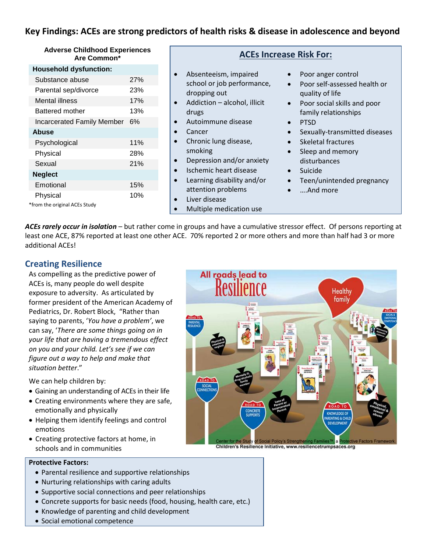# **Key Findings: ACEs are strong predictors of health risks & disease in adolescence and beyond**

#### **Adverse Childhood Experiences Are Common\***

#### **Household dysfunction:**

| Substance abuse                   | 27% |
|-----------------------------------|-----|
| Parental sep/divorce              | 23% |
| <b>Mental illness</b>             | 17% |
| Battered mother                   | 13% |
| <b>Incarcerated Family Member</b> | 6%  |
| Abuse                             |     |
| Psychological                     | 11% |
| Physical                          | 28% |
| Sexual                            | 21% |
| <b>Neglect</b>                    |     |
| Emotional                         | 15% |
| Physical                          | 10% |
| *from the original ACEs Study     |     |

#### **ACEs Increase Risk For:**

- Absenteeism, impaired school or job performance, dropping out
- Addiction alcohol, illicit drugs
- Autoimmune disease
- Cancer
- Chronic lung disease, smoking
- Depression and/or anxiety
- Ischemic heart disease
- Learning disability and/or attention problems
- Liver disease
- Multiple medication use
- Poor anger control
- Poor self-assessed health or quality of life
- Poor social skills and poor family relationships
- PTSD
- Sexually-transmitted diseases
- Skeletal fractures
- Sleep and memory disturbances
- Suicide
- Teen/unintended pregnancy
- ….And more

*ACEs rarely occur in isolation* – but rather come in groups and have a cumulative stressor effect. Of persons reporting at least one ACE, 87% reported at least one other ACE. 70% reported 2 or more others and more than half had 3 or more additional ACEs!

# **Creating Resilience**

As compelling as the predictive power of ACEs is, many people do well despite exposure to adversity. As articulated by former president of the American Academy of Pediatrics, Dr. Robert Block, "Rather than saying to parents, '*You have a problem'*, we can say, '*There are some things going on in your life that are having a tremendous effect on you and your child. Let's see if we can figure out a way to help and make that situation better*."

We can help children by:

- Gaining an understanding of ACEs in their life
- Creating environments where they are safe, emotionally and physically
- Helping them identify feelings and control emotions
- Creating protective factors at home, in schools and in communities



Children's Resilience Initiative, www.resiliencetrumpsaces.org

#### **Protective Factors:**

- Parental resilience and supportive relationships
- Nurturing relationships with caring adults
- Supportive social connections and peer relationships
- Concrete supports for basic needs (food, housing, health care, etc.)
- Knowledge of parenting and child development
- Social emotional competence